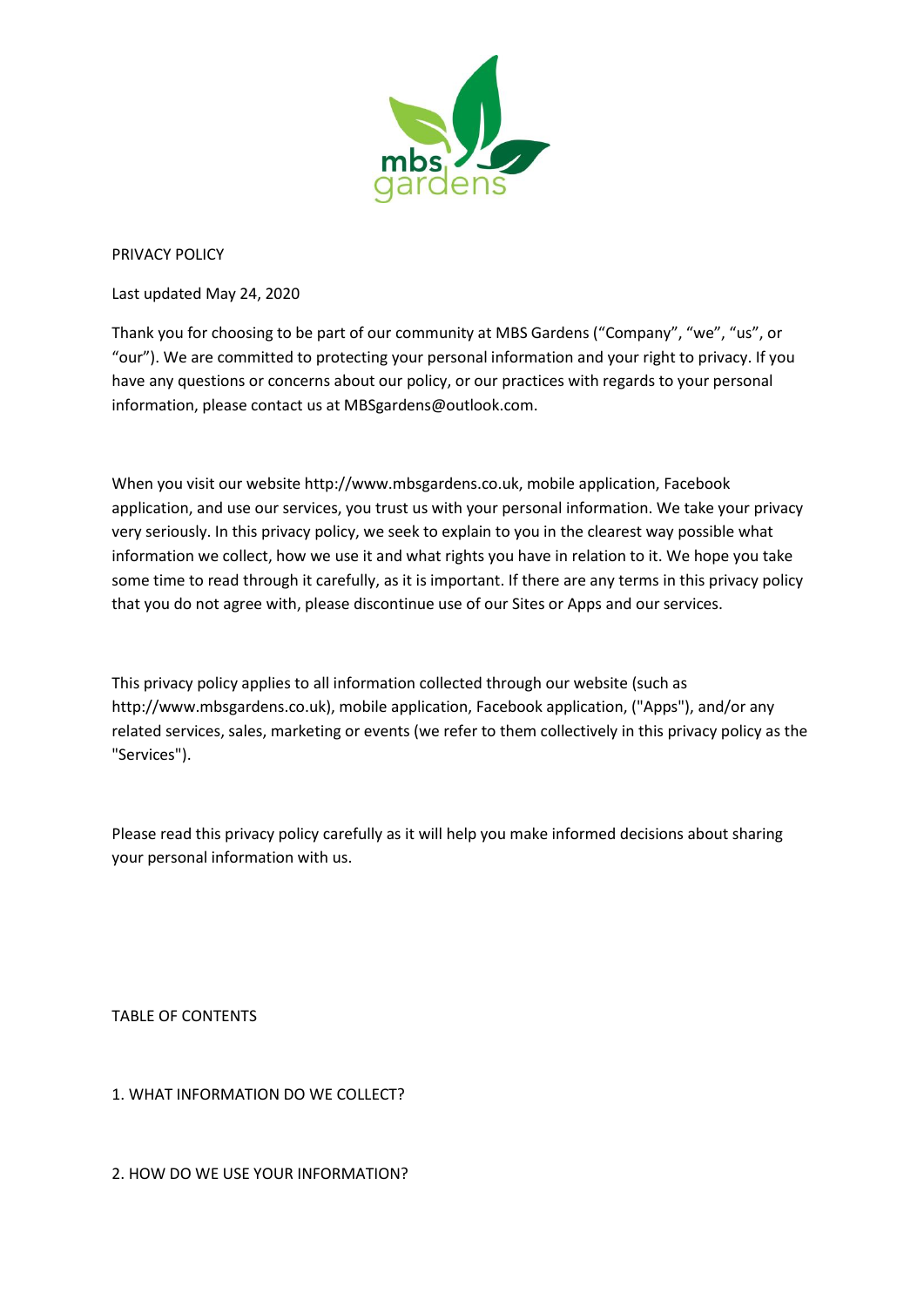

PRIVACY POLICY

Last updated May 24, 2020

Thank you for choosing to be part of our community at MBS Gardens ("Company", "we", "us", or "our"). We are committed to protecting your personal information and your right to privacy. If you have any questions or concerns about our policy, or our practices with regards to your personal information, please contact us at MBSgardens@outlook.com.

When you visit our website http://www.mbsgardens.co.uk, mobile application, Facebook application, and use our services, you trust us with your personal information. We take your privacy very seriously. In this privacy policy, we seek to explain to you in the clearest way possible what information we collect, how we use it and what rights you have in relation to it. We hope you take some time to read through it carefully, as it is important. If there are any terms in this privacy policy that you do not agree with, please discontinue use of our Sites or Apps and our services.

This privacy policy applies to all information collected through our website (such as http://www.mbsgardens.co.uk), mobile application, Facebook application, ("Apps"), and/or any related services, sales, marketing or events (we refer to them collectively in this privacy policy as the "Services").

Please read this privacy policy carefully as it will help you make informed decisions about sharing your personal information with us.

TABLE OF CONTENTS

1. WHAT INFORMATION DO WE COLLECT?

2. HOW DO WE USE YOUR INFORMATION?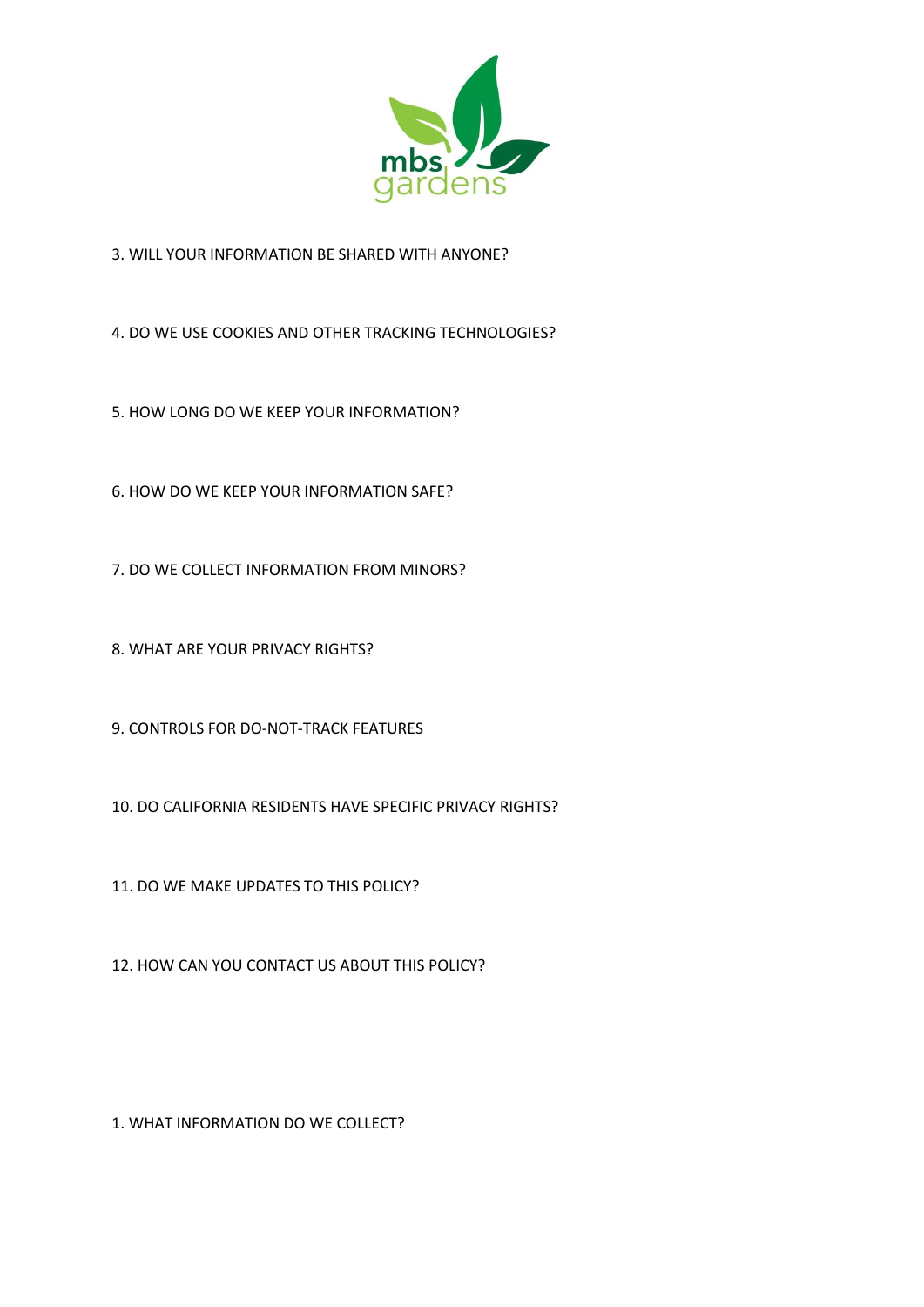

3. WILL YOUR INFORMATION BE SHARED WITH ANYONE?

4. DO WE USE COOKIES AND OTHER TRACKING TECHNOLOGIES?

5. HOW LONG DO WE KEEP YOUR INFORMATION?

6. HOW DO WE KEEP YOUR INFORMATION SAFE?

7. DO WE COLLECT INFORMATION FROM MINORS?

8. WHAT ARE YOUR PRIVACY RIGHTS?

9. CONTROLS FOR DO-NOT-TRACK FEATURES

10. DO CALIFORNIA RESIDENTS HAVE SPECIFIC PRIVACY RIGHTS?

11. DO WE MAKE UPDATES TO THIS POLICY?

12. HOW CAN YOU CONTACT US ABOUT THIS POLICY?

1. WHAT INFORMATION DO WE COLLECT?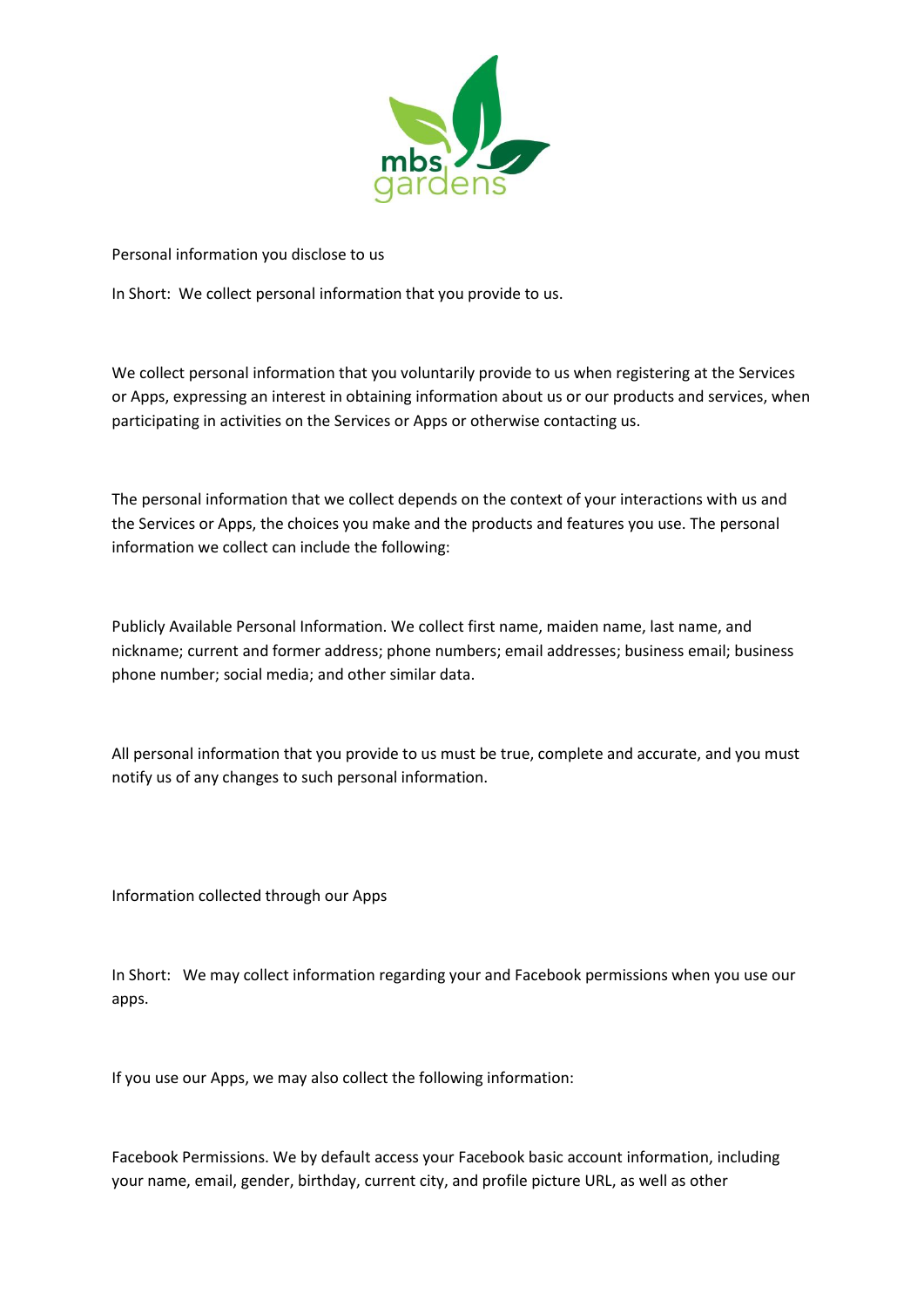

Personal information you disclose to us

In Short: We collect personal information that you provide to us.

We collect personal information that you voluntarily provide to us when registering at the Services or Apps, expressing an interest in obtaining information about us or our products and services, when participating in activities on the Services or Apps or otherwise contacting us.

The personal information that we collect depends on the context of your interactions with us and the Services or Apps, the choices you make and the products and features you use. The personal information we collect can include the following:

Publicly Available Personal Information. We collect first name, maiden name, last name, and nickname; current and former address; phone numbers; email addresses; business email; business phone number; social media; and other similar data.

All personal information that you provide to us must be true, complete and accurate, and you must notify us of any changes to such personal information.

Information collected through our Apps

In Short: We may collect information regarding your and Facebook permissions when you use our apps.

If you use our Apps, we may also collect the following information:

Facebook Permissions. We by default access your Facebook basic account information, including your name, email, gender, birthday, current city, and profile picture URL, as well as other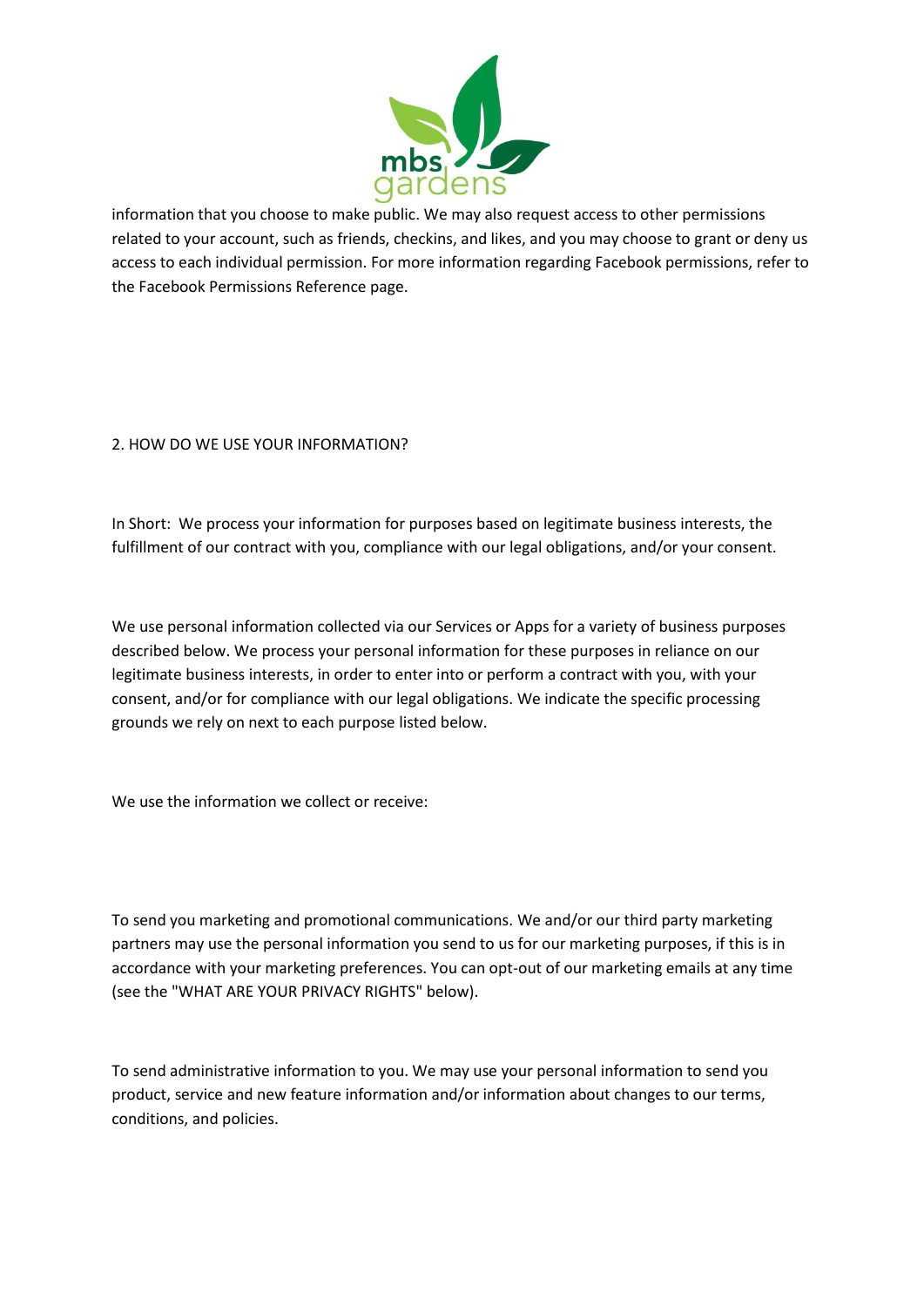

information that you choose to make public. We may also request access to other permissions related to your account, such as friends, checkins, and likes, and you may choose to grant or deny us access to each individual permission. For more information regarding Facebook permissions, refer to the Facebook Permissions Reference page.

## 2. HOW DO WE USE YOUR INFORMATION?

In Short: We process your information for purposes based on legitimate business interests, the fulfillment of our contract with you, compliance with our legal obligations, and/or your consent.

We use personal information collected via our Services or Apps for a variety of business purposes described below. We process your personal information for these purposes in reliance on our legitimate business interests, in order to enter into or perform a contract with you, with your consent, and/or for compliance with our legal obligations. We indicate the specific processing grounds we rely on next to each purpose listed below.

We use the information we collect or receive:

To send you marketing and promotional communications. We and/or our third party marketing partners may use the personal information you send to us for our marketing purposes, if this is in accordance with your marketing preferences. You can opt-out of our marketing emails at any time (see the "WHAT ARE YOUR PRIVACY RIGHTS" below).

To send administrative information to you. We may use your personal information to send you product, service and new feature information and/or information about changes to our terms, conditions, and policies.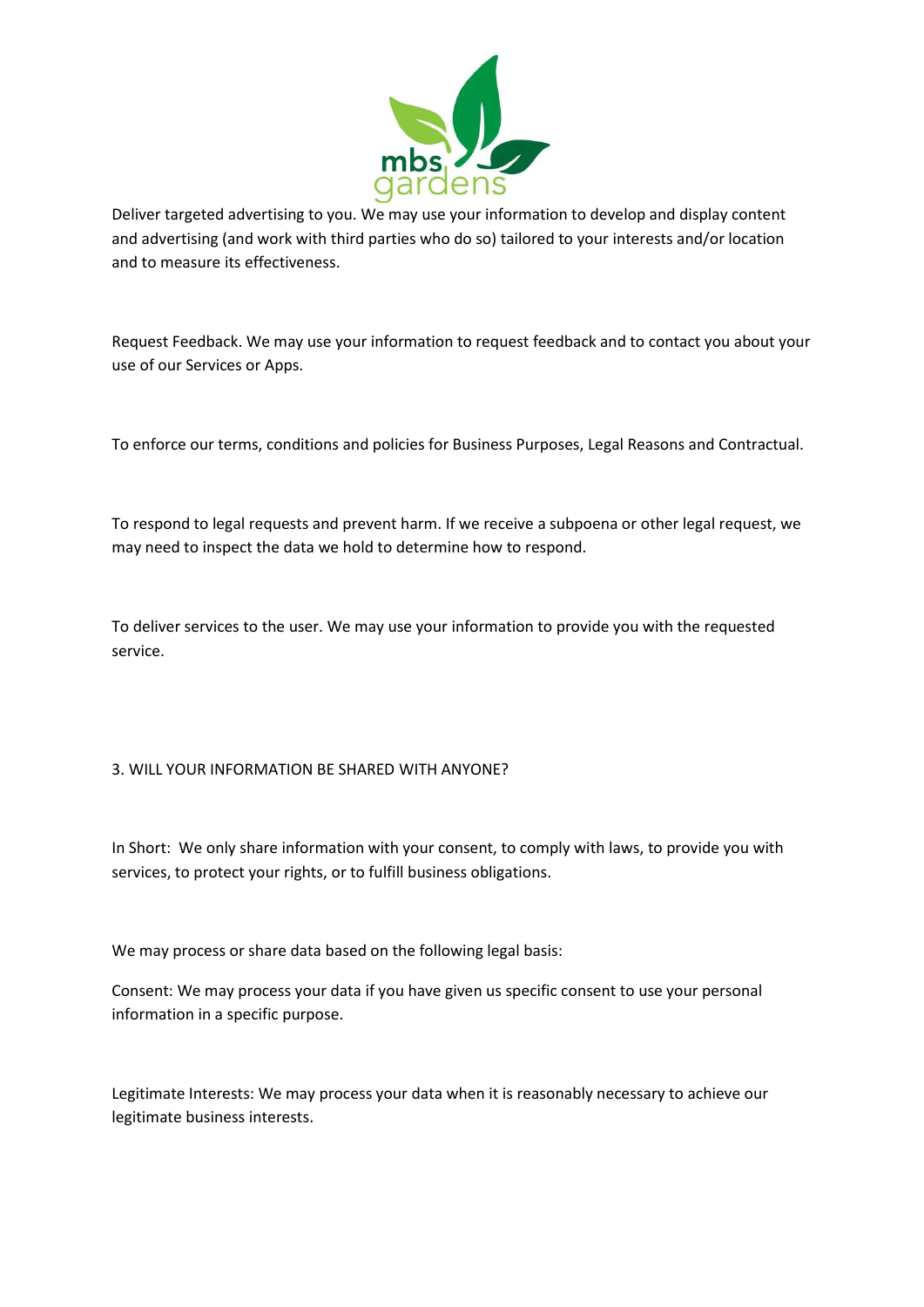

Deliver targeted advertising to you. We may use your information to develop and display content and advertising (and work with third parties who do so) tailored to your interests and/or location and to measure its effectiveness.

Request Feedback. We may use your information to request feedback and to contact you about your use of our Services or Apps.

To enforce our terms, conditions and policies for Business Purposes, Legal Reasons and Contractual.

To respond to legal requests and prevent harm. If we receive a subpoena or other legal request, we may need to inspect the data we hold to determine how to respond.

To deliver services to the user. We may use your information to provide you with the requested service.

### 3. WILL YOUR INFORMATION BE SHARED WITH ANYONE?

In Short: We only share information with your consent, to comply with laws, to provide you with services, to protect your rights, or to fulfill business obligations.

We may process or share data based on the following legal basis:

Consent: We may process your data if you have given us specific consent to use your personal information in a specific purpose.

Legitimate Interests: We may process your data when it is reasonably necessary to achieve our legitimate business interests.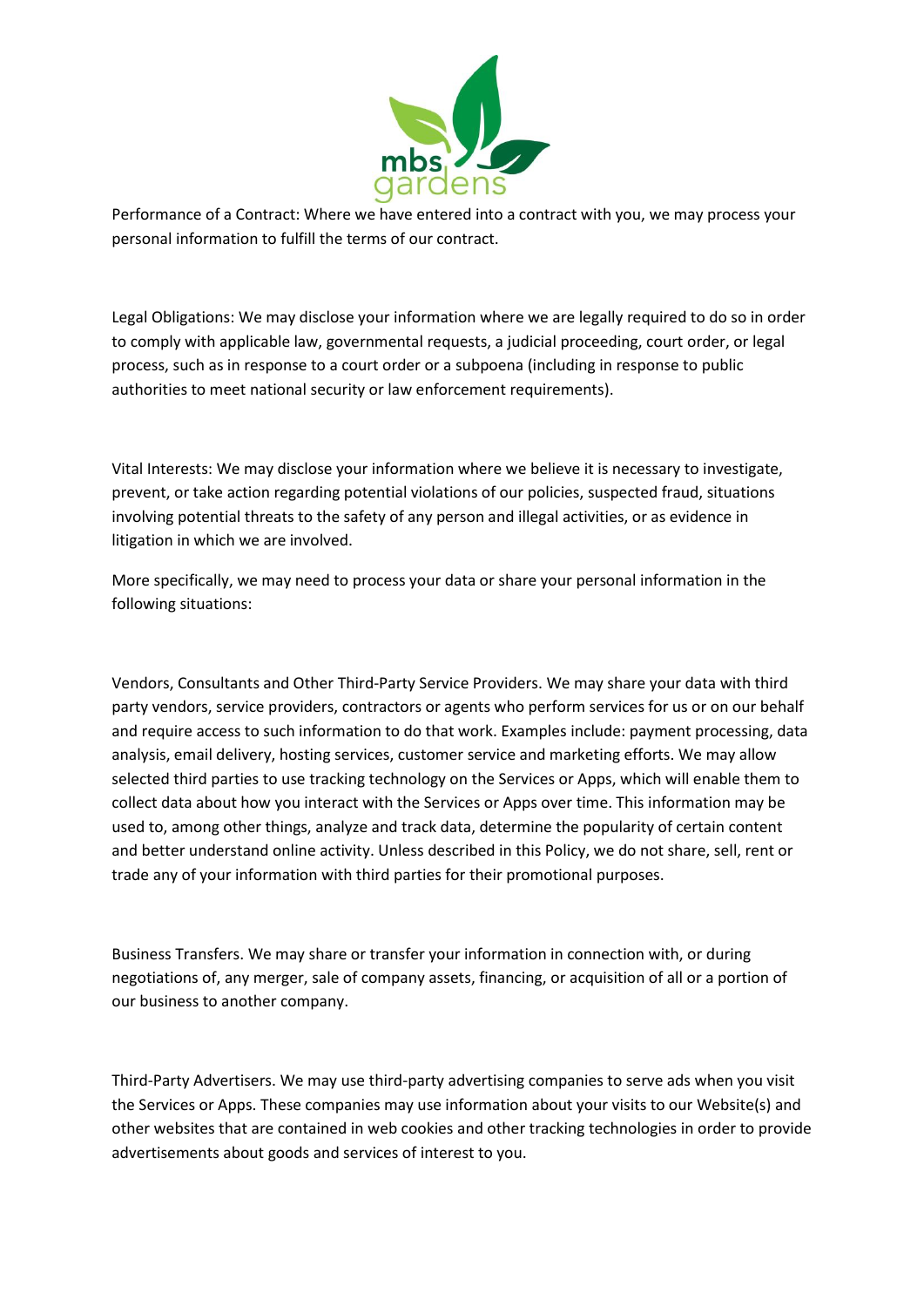

Performance of a Contract: Where we have entered into a contract with you, we may process your personal information to fulfill the terms of our contract.

Legal Obligations: We may disclose your information where we are legally required to do so in order to comply with applicable law, governmental requests, a judicial proceeding, court order, or legal process, such as in response to a court order or a subpoena (including in response to public authorities to meet national security or law enforcement requirements).

Vital Interests: We may disclose your information where we believe it is necessary to investigate, prevent, or take action regarding potential violations of our policies, suspected fraud, situations involving potential threats to the safety of any person and illegal activities, or as evidence in litigation in which we are involved.

More specifically, we may need to process your data or share your personal information in the following situations:

Vendors, Consultants and Other Third-Party Service Providers. We may share your data with third party vendors, service providers, contractors or agents who perform services for us or on our behalf and require access to such information to do that work. Examples include: payment processing, data analysis, email delivery, hosting services, customer service and marketing efforts. We may allow selected third parties to use tracking technology on the Services or Apps, which will enable them to collect data about how you interact with the Services or Apps over time. This information may be used to, among other things, analyze and track data, determine the popularity of certain content and better understand online activity. Unless described in this Policy, we do not share, sell, rent or trade any of your information with third parties for their promotional purposes.

Business Transfers. We may share or transfer your information in connection with, or during negotiations of, any merger, sale of company assets, financing, or acquisition of all or a portion of our business to another company.

Third-Party Advertisers. We may use third-party advertising companies to serve ads when you visit the Services or Apps. These companies may use information about your visits to our Website(s) and other websites that are contained in web cookies and other tracking technologies in order to provide advertisements about goods and services of interest to you.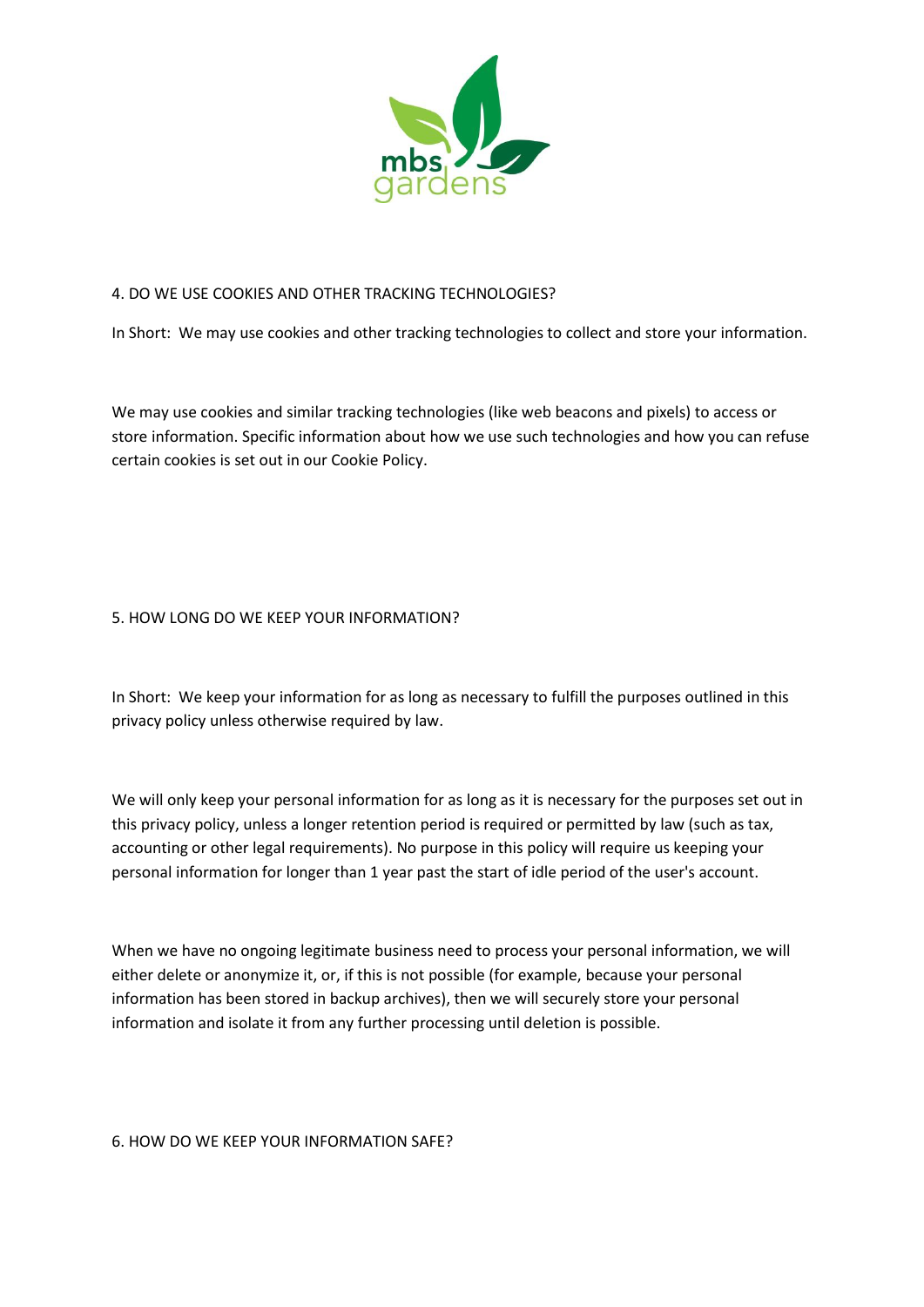

### 4. DO WE USE COOKIES AND OTHER TRACKING TECHNOLOGIES?

In Short: We may use cookies and other tracking technologies to collect and store your information.

We may use cookies and similar tracking technologies (like web beacons and pixels) to access or store information. Specific information about how we use such technologies and how you can refuse certain cookies is set out in our Cookie Policy.

### 5. HOW LONG DO WE KEEP YOUR INFORMATION?

In Short: We keep your information for as long as necessary to fulfill the purposes outlined in this privacy policy unless otherwise required by law.

We will only keep your personal information for as long as it is necessary for the purposes set out in this privacy policy, unless a longer retention period is required or permitted by law (such as tax, accounting or other legal requirements). No purpose in this policy will require us keeping your personal information for longer than 1 year past the start of idle period of the user's account.

When we have no ongoing legitimate business need to process your personal information, we will either delete or anonymize it, or, if this is not possible (for example, because your personal information has been stored in backup archives), then we will securely store your personal information and isolate it from any further processing until deletion is possible.

#### 6. HOW DO WE KEEP YOUR INFORMATION SAFE?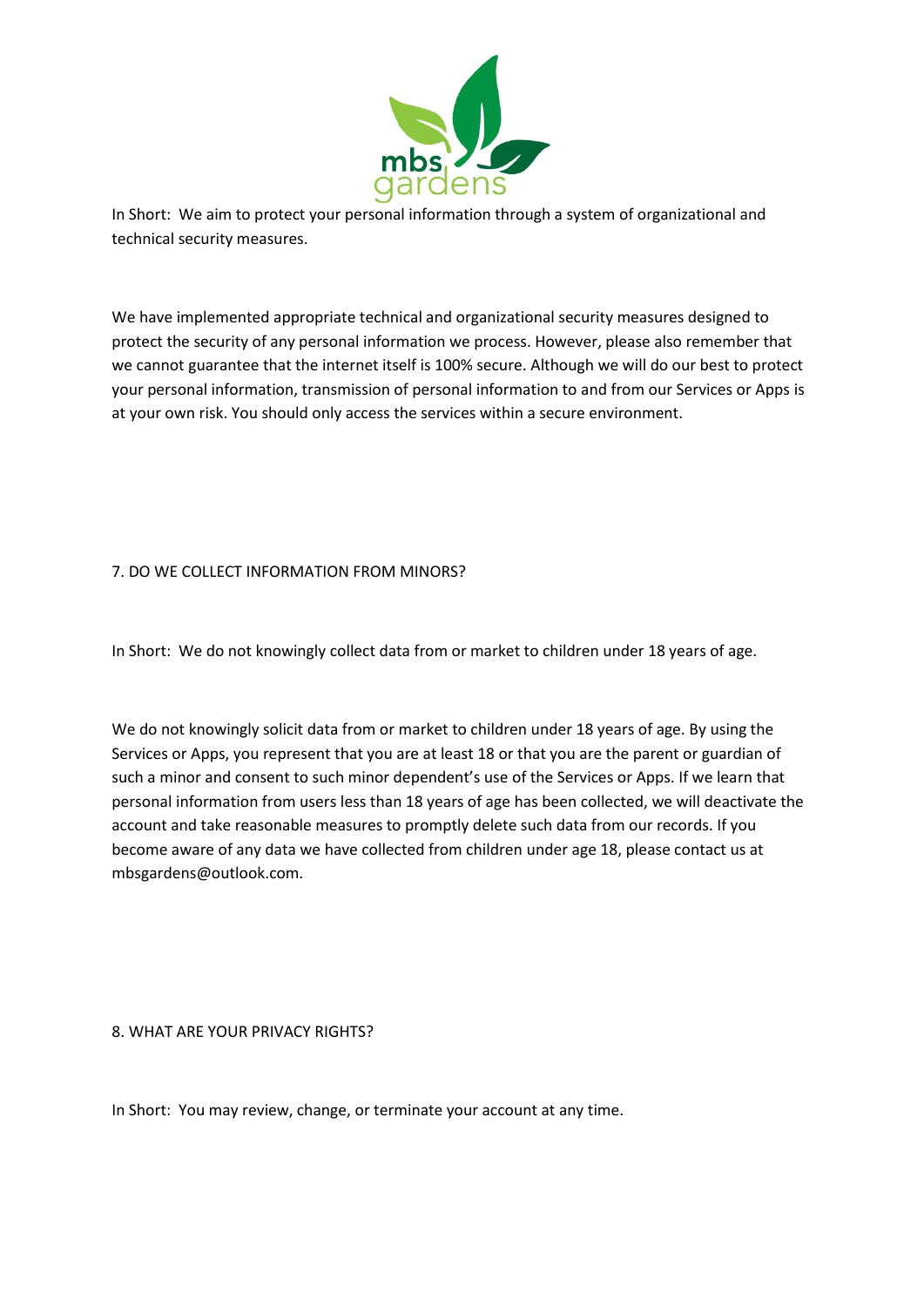

In Short: We aim to protect your personal information through a system of organizational and technical security measures.

We have implemented appropriate technical and organizational security measures designed to protect the security of any personal information we process. However, please also remember that we cannot guarantee that the internet itself is 100% secure. Although we will do our best to protect your personal information, transmission of personal information to and from our Services or Apps is at your own risk. You should only access the services within a secure environment.

## 7. DO WE COLLECT INFORMATION FROM MINORS?

In Short: We do not knowingly collect data from or market to children under 18 years of age.

We do not knowingly solicit data from or market to children under 18 years of age. By using the Services or Apps, you represent that you are at least 18 or that you are the parent or guardian of such a minor and consent to such minor dependent's use of the Services or Apps. If we learn that personal information from users less than 18 years of age has been collected, we will deactivate the account and take reasonable measures to promptly delete such data from our records. If you become aware of any data we have collected from children under age 18, please contact us at mbsgardens@outlook.com.

8. WHAT ARE YOUR PRIVACY RIGHTS?

In Short: You may review, change, or terminate your account at any time.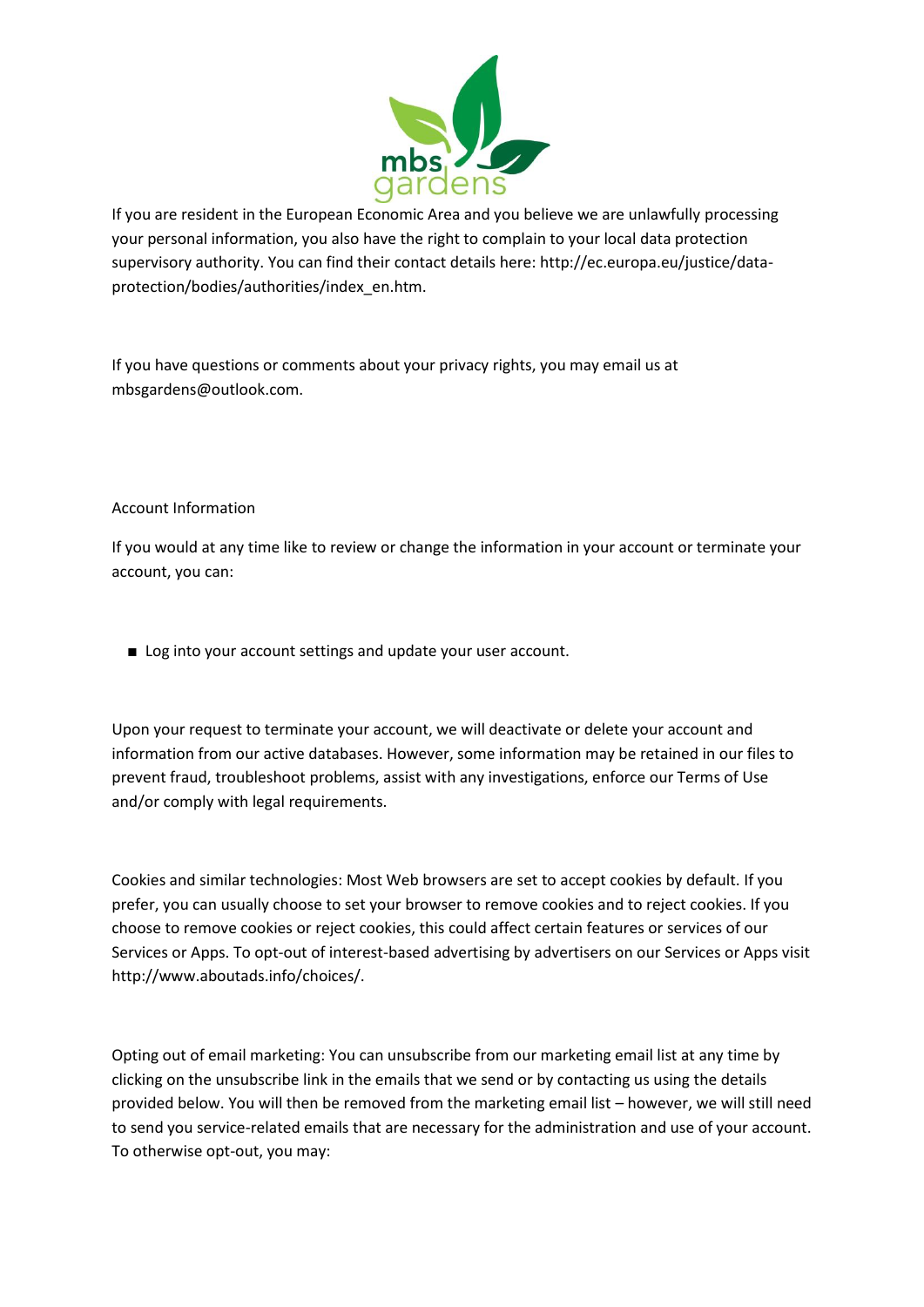

If you are resident in the European Economic Area and you believe we are unlawfully processing your personal information, you also have the right to complain to your local data protection supervisory authority. You can find their contact details here: http://ec.europa.eu/justice/dataprotection/bodies/authorities/index\_en.htm.

If you have questions or comments about your privacy rights, you may email us at mbsgardens@outlook.com.

## Account Information

If you would at any time like to review or change the information in your account or terminate your account, you can:

■ Log into your account settings and update your user account.

Upon your request to terminate your account, we will deactivate or delete your account and information from our active databases. However, some information may be retained in our files to prevent fraud, troubleshoot problems, assist with any investigations, enforce our Terms of Use and/or comply with legal requirements.

Cookies and similar technologies: Most Web browsers are set to accept cookies by default. If you prefer, you can usually choose to set your browser to remove cookies and to reject cookies. If you choose to remove cookies or reject cookies, this could affect certain features or services of our Services or Apps. To opt-out of interest-based advertising by advertisers on our Services or Apps visit http://www.aboutads.info/choices/.

Opting out of email marketing: You can unsubscribe from our marketing email list at any time by clicking on the unsubscribe link in the emails that we send or by contacting us using the details provided below. You will then be removed from the marketing email list – however, we will still need to send you service-related emails that are necessary for the administration and use of your account. To otherwise opt-out, you may: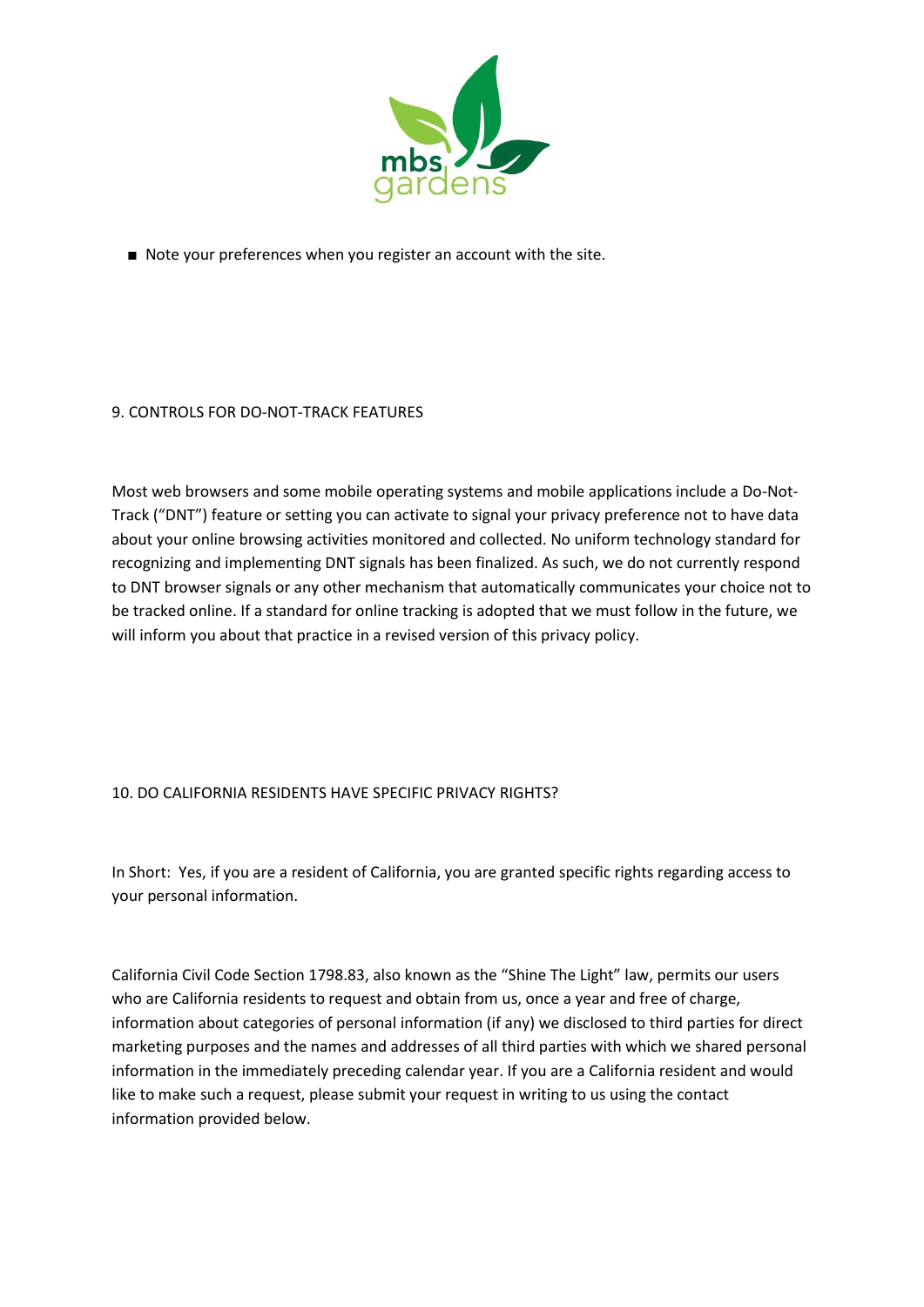

■ Note your preferences when you register an account with the site.

## 9. CONTROLS FOR DO-NOT-TRACK FEATURES

Most web browsers and some mobile operating systems and mobile applications include a Do-Not-Track ("DNT") feature or setting you can activate to signal your privacy preference not to have data about your online browsing activities monitored and collected. No uniform technology standard for recognizing and implementing DNT signals has been finalized. As such, we do not currently respond to DNT browser signals or any other mechanism that automatically communicates your choice not to be tracked online. If a standard for online tracking is adopted that we must follow in the future, we will inform you about that practice in a revised version of this privacy policy.

### 10. DO CALIFORNIA RESIDENTS HAVE SPECIFIC PRIVACY RIGHTS?

In Short: Yes, if you are a resident of California, you are granted specific rights regarding access to your personal information.

California Civil Code Section 1798.83, also known as the "Shine The Light" law, permits our users who are California residents to request and obtain from us, once a year and free of charge, information about categories of personal information (if any) we disclosed to third parties for direct marketing purposes and the names and addresses of all third parties with which we shared personal information in the immediately preceding calendar year. If you are a California resident and would like to make such a request, please submit your request in writing to us using the contact information provided below.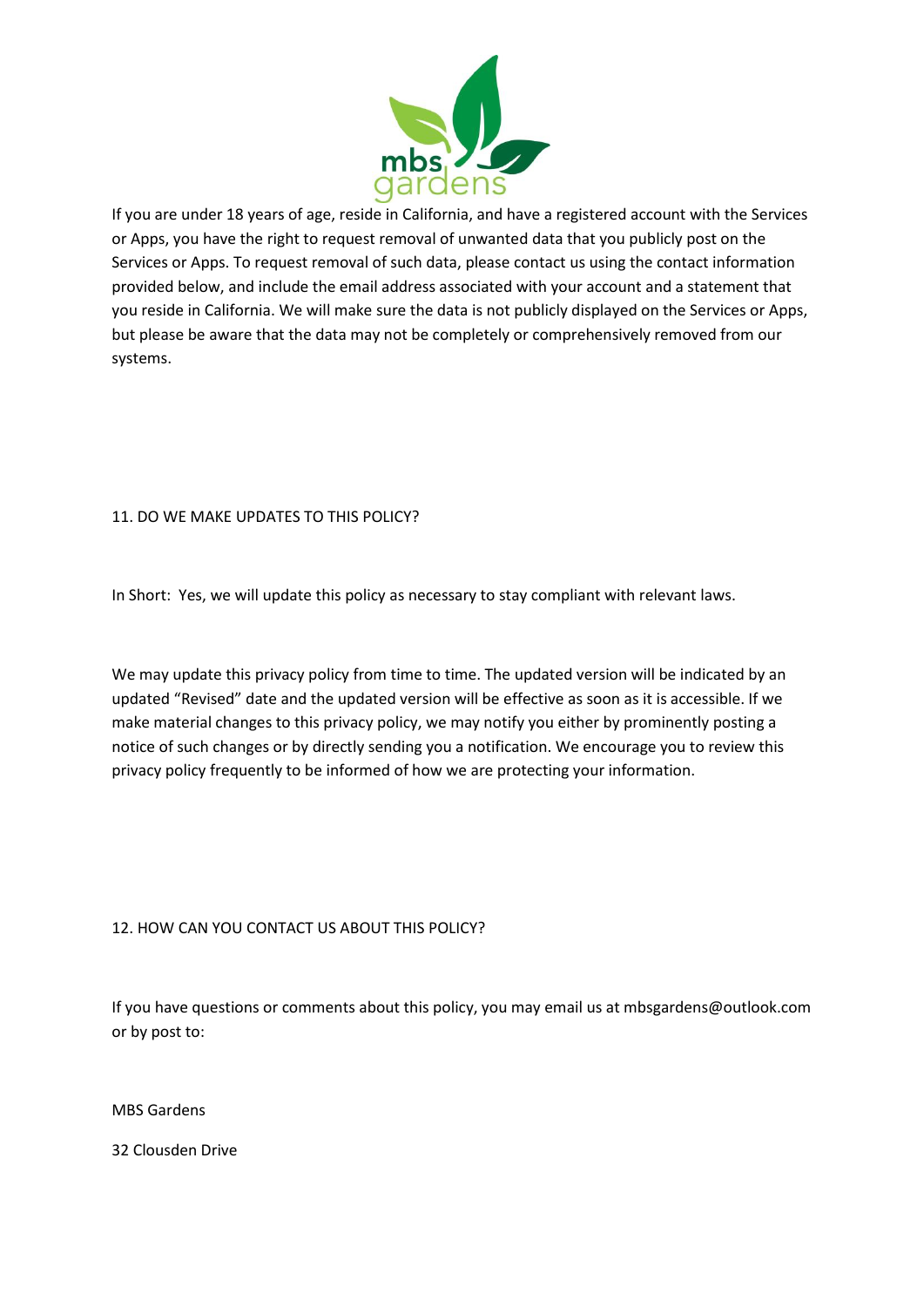

If you are under 18 years of age, reside in California, and have a registered account with the Services or Apps, you have the right to request removal of unwanted data that you publicly post on the Services or Apps. To request removal of such data, please contact us using the contact information provided below, and include the email address associated with your account and a statement that you reside in California. We will make sure the data is not publicly displayed on the Services or Apps, but please be aware that the data may not be completely or comprehensively removed from our systems.

### 11. DO WE MAKE UPDATES TO THIS POLICY?

In Short: Yes, we will update this policy as necessary to stay compliant with relevant laws.

We may update this privacy policy from time to time. The updated version will be indicated by an updated "Revised" date and the updated version will be effective as soon as it is accessible. If we make material changes to this privacy policy, we may notify you either by prominently posting a notice of such changes or by directly sending you a notification. We encourage you to review this privacy policy frequently to be informed of how we are protecting your information.

### 12. HOW CAN YOU CONTACT US ABOUT THIS POLICY?

If you have questions or comments about this policy, you may email us at mbsgardens@outlook.com or by post to:

MBS Gardens

32 Clousden Drive